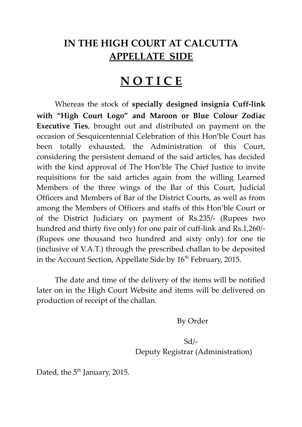## **IN THE HIGH COURT AT CALCUTTA APPELLATE SIDE**

## **N O T I C E**

Whereas the stock of **specially designed insignia Cuff-link with "High Court Logo" and Maroon or Blue Colour Zodiac Executive Ties**, brought out and distributed on payment on the occasion of Sesquicentennial Celebration of this Hon'ble Court has been totally exhausted, the Administration of this Court, considering the persistent demand of the said articles, has decided with the kind approval of The Hon'ble The Chief Justice to invite requisitions for the said articles again from the willing Learned Members of the three wings of the Bar of this Court, Judicial Officers and Members of Bar of the District Courts, as well as from among the Members of Officers and staffs of this Hon'ble Court or of the District Judiciary on payment of Rs.235/- (Rupees two hundred and thirty five only) for one pair of cuff-link and Rs.1,260/- (Rupees one thousand two hundred and sixty only) for one tie (inclusive of V.A.T.) through the prescribed challan to be deposited in the Account Section, Appellate Side by  $16<sup>th</sup>$  February, 2015.

The date and time of the delivery of the items will be notified later on in the High Court Website and items will be delivered on production of receipt of the challan.

By Order

Sd/- Deputy Registrar (Administration)

Dated, the 5<sup>th</sup> January, 2015.